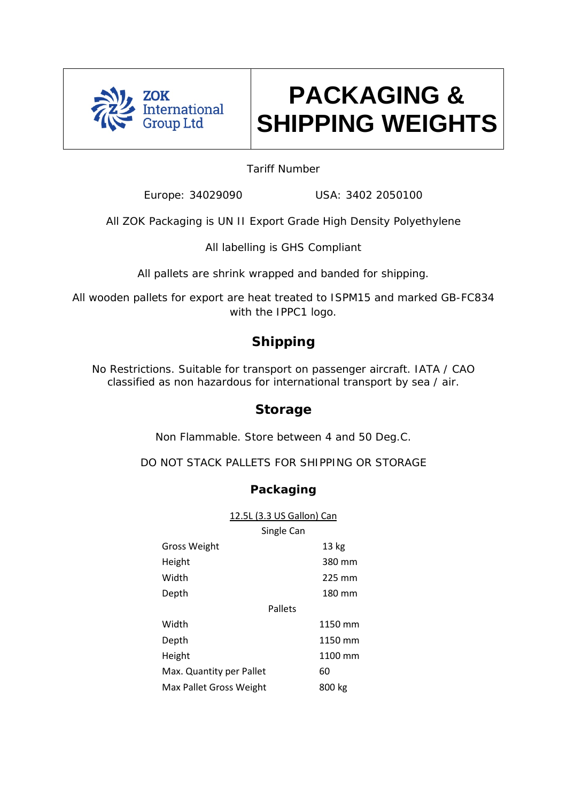

# **PACKAGING & SHIPPING WEIGHTS**

Tariff Number

Europe: 34029090 USA: 3402 2050100

All ZOK Packaging is UN II Export Grade High Density Polyethylene

All labelling is GHS Compliant

All pallets are shrink wrapped and banded for shipping.

All wooden pallets for export are heat treated to ISPM15 and marked GB-FC834 with the IPPC1 logo.

## **Shipping**

No Restrictions. Suitable for transport on passenger aircraft. IATA / CAO classified as non hazardous for international transport by sea / air.

## **Storage**

Non Flammable. Store between 4 and 50 Deg.C.

DO NOT STACK PALLETS FOR SHIPPING OR STORAGE

## **Packaging**

|                          | 12.5L (3.3 US Gallon) Can |  |
|--------------------------|---------------------------|--|
|                          | Single Can                |  |
| Gross Weight             | 13 <sub>kg</sub>          |  |
| Height                   | 380 mm                    |  |
| Width                    | 225 mm                    |  |
| Depth                    | 180 mm                    |  |
|                          | Pallets                   |  |
| Width                    | 1150 mm                   |  |
| Depth                    | 1150 mm                   |  |
| Height                   | 1100 mm                   |  |
| Max. Quantity per Pallet | 60                        |  |
| Max Pallet Gross Weight  | 800 kg                    |  |